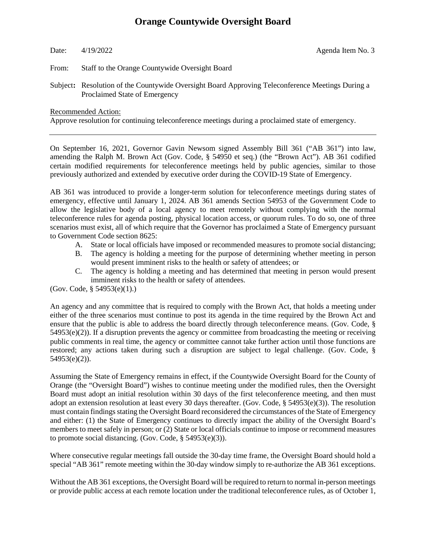## **Orange Countywide Oversight Board**

## Date:  $4/19/2022$  Agenda Item No. 3

From: Staff to the Orange Countywide Oversight Board

Subject**:** Resolution of the Countywide Oversight Board Approving Teleconference Meetings During a Proclaimed State of Emergency

Recommended Action:

Approve resolution for continuing teleconference meetings during a proclaimed state of emergency.

On September 16, 2021, Governor Gavin Newsom signed Assembly Bill 361 ("AB 361") into law, amending the Ralph M. Brown Act (Gov. Code, § 54950 et seq.) (the "Brown Act"). AB 361 codified certain modified requirements for teleconference meetings held by public agencies, similar to those previously authorized and extended by executive order during the COVID-19 State of Emergency.

AB 361 was introduced to provide a longer-term solution for teleconference meetings during states of emergency, effective until January 1, 2024. AB 361 amends Section 54953 of the Government Code to allow the legislative body of a local agency to meet remotely without complying with the normal teleconference rules for agenda posting, physical location access, or quorum rules. To do so, one of three scenarios must exist, all of which require that the Governor has proclaimed a State of Emergency pursuant to Government Code section 8625:

- A. State or local officials have imposed or recommended measures to promote social distancing;
- B. The agency is holding a meeting for the purpose of determining whether meeting in person would present imminent risks to the health or safety of attendees; or
- C. The agency is holding a meeting and has determined that meeting in person would present imminent risks to the health or safety of attendees.

(Gov. Code, § 54953(e)(1).)

An agency and any committee that is required to comply with the Brown Act, that holds a meeting under either of the three scenarios must continue to post its agenda in the time required by the Brown Act and ensure that the public is able to address the board directly through teleconference means. (Gov. Code, § 54953(e)(2)). If a disruption prevents the agency or committee from broadcasting the meeting or receiving public comments in real time, the agency or committee cannot take further action until those functions are restored; any actions taken during such a disruption are subject to legal challenge. (Gov. Code, §  $54953(e)(2)$ ).

Assuming the State of Emergency remains in effect, if the Countywide Oversight Board for the County of Orange (the "Oversight Board") wishes to continue meeting under the modified rules, then the Oversight Board must adopt an initial resolution within 30 days of the first teleconference meeting, and then must adopt an extension resolution at least every 30 days thereafter. (Gov. Code, § 54953(e)(3)). The resolution must contain findings stating the Oversight Board reconsidered the circumstances of the State of Emergency and either: (1) the State of Emergency continues to directly impact the ability of the Oversight Board's members to meet safely in person; or (2) State or local officials continue to impose or recommend measures to promote social distancing. (Gov. Code, § 54953(e)(3)).

Where consecutive regular meetings fall outside the 30-day time frame, the Oversight Board should hold a special "AB 361" remote meeting within the 30-day window simply to re-authorize the AB 361 exceptions.

Without the AB 361 exceptions, the Oversight Board will be required to return to normal in-person meetings or provide public access at each remote location under the traditional teleconference rules, as of October 1,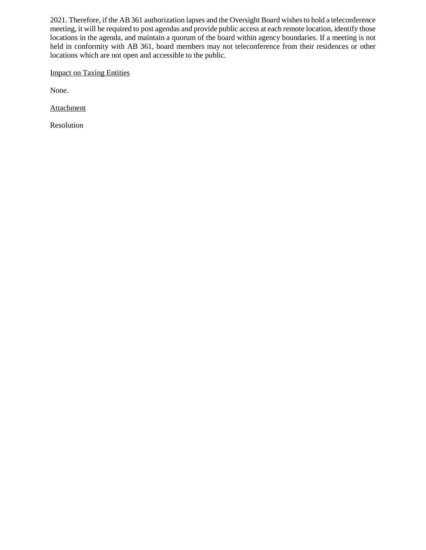2021. Therefore, if the AB 361 authorization lapses and the Oversight Board wishes to hold a teleconference meeting, it will be required to post agendas and provide public access at each remote location, identify those locations in the agenda, and maintain a quorum of the board within agency boundaries. If a meeting is not held in conformity with AB 361, board members may not teleconference from their residences or other locations which are not open and accessible to the public.

Impact on Taxing Entities

None.

**Attachment** 

Resolution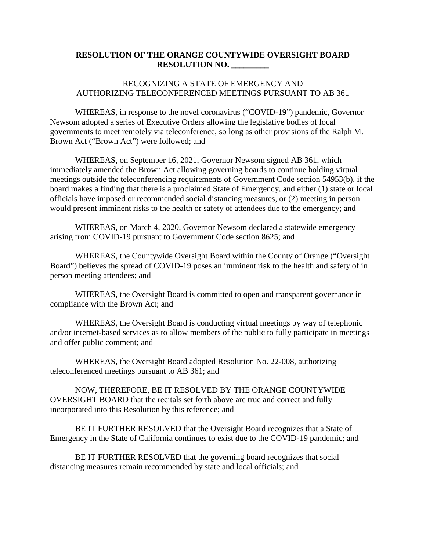## **RESOLUTION OF THE ORANGE COUNTYWIDE OVERSIGHT BOARD RESOLUTION NO. \_\_\_\_\_\_\_\_\_**

## RECOGNIZING A STATE OF EMERGENCY AND AUTHORIZING TELECONFERENCED MEETINGS PURSUANT TO AB 361

WHEREAS, in response to the novel coronavirus ("COVID-19") pandemic, Governor Newsom adopted a series of Executive Orders allowing the legislative bodies of local governments to meet remotely via teleconference, so long as other provisions of the Ralph M. Brown Act ("Brown Act") were followed; and

WHEREAS, on September 16, 2021, Governor Newsom signed AB 361, which immediately amended the Brown Act allowing governing boards to continue holding virtual meetings outside the teleconferencing requirements of Government Code section 54953(b), if the board makes a finding that there is a proclaimed State of Emergency, and either (1) state or local officials have imposed or recommended social distancing measures, or (2) meeting in person would present imminent risks to the health or safety of attendees due to the emergency; and

WHEREAS, on March 4, 2020, Governor Newsom declared a statewide emergency arising from COVID-19 pursuant to Government Code section 8625; and

WHEREAS, the Countywide Oversight Board within the County of Orange ("Oversight Board") believes the spread of COVID-19 poses an imminent risk to the health and safety of in person meeting attendees; and

WHEREAS, the Oversight Board is committed to open and transparent governance in compliance with the Brown Act; and

WHEREAS, the Oversight Board is conducting virtual meetings by way of telephonic and/or internet-based services as to allow members of the public to fully participate in meetings and offer public comment; and

WHEREAS, the Oversight Board adopted Resolution No. 22-008, authorizing teleconferenced meetings pursuant to AB 361; and

NOW, THEREFORE, BE IT RESOLVED BY THE ORANGE COUNTYWIDE OVERSIGHT BOARD that the recitals set forth above are true and correct and fully incorporated into this Resolution by this reference; and

BE IT FURTHER RESOLVED that the Oversight Board recognizes that a State of Emergency in the State of California continues to exist due to the COVID-19 pandemic; and

BE IT FURTHER RESOLVED that the governing board recognizes that social distancing measures remain recommended by state and local officials; and